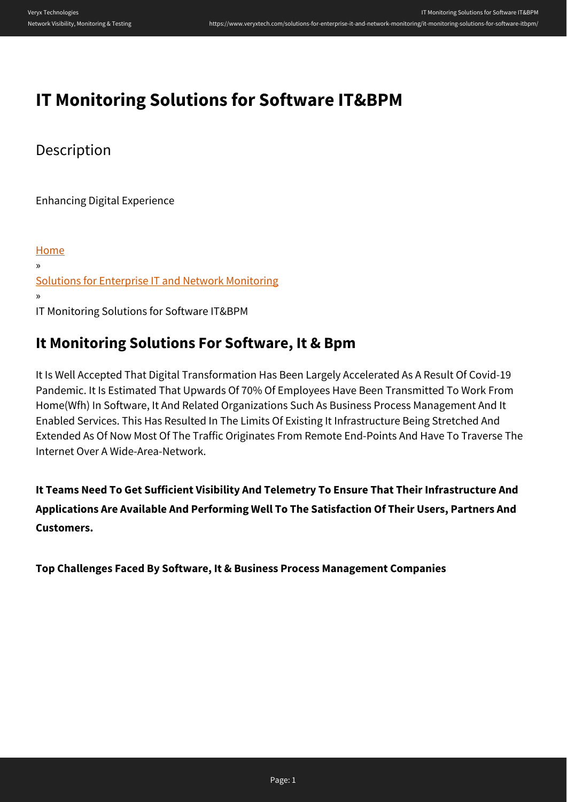# **IT Monitoring Solutions for Software IT&BPM**

Description

Enhancing Digital Experience

[Home](https://www.veryxtech.com) » [Solutions for Enterprise IT and Network Monitoring](https://www.veryxtech.com/solutions-for-enterprise-it-and-network-monitoring/) » IT Monitoring Solutions for Software IT&BPM

# **It Monitoring Solutions For Software, It & Bpm**

It Is Well Accepted That Digital Transformation Has Been Largely Accelerated As A Result Of Covid-19 Pandemic. It Is Estimated That Upwards Of 70% Of Employees Have Been Transmitted To Work From Home(Wfh) In Software, It And Related Organizations Such As Business Process Management And It Enabled Services. This Has Resulted In The Limits Of Existing It Infrastructure Being Stretched And Extended As Of Now Most Of The Traffic Originates From Remote End-Points And Have To Traverse The Internet Over A Wide-Area-Network.

**It Teams Need To Get Sufficient Visibility And Telemetry To Ensure That Their Infrastructure And Applications Are Available And Performing Well To The Satisfaction Of Their Users, Partners And Customers.**

**Top Challenges Faced By Software, It & Business Process Management Companies**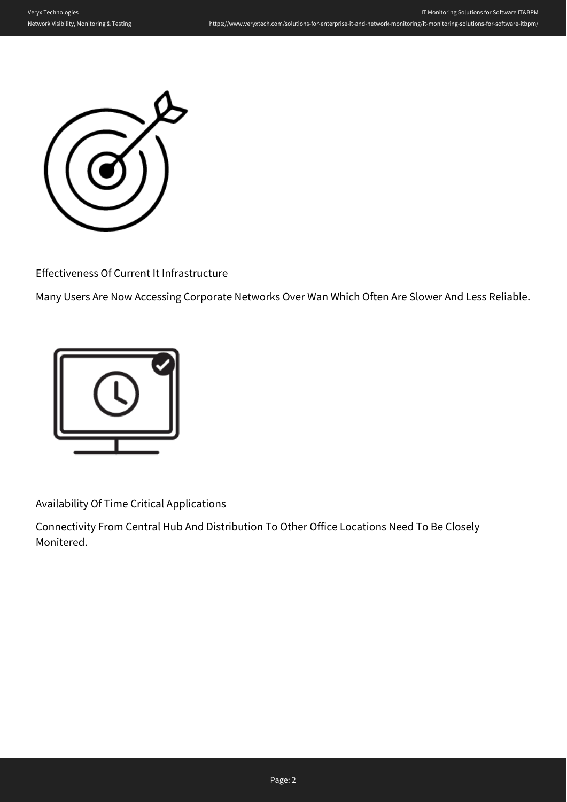

Effectiveness Of Current It Infrastructure

Many Users Are Now Accessing Corporate Networks Over Wan Which Often Are Slower And Less Reliable.



Availability Of Time Critical Applications

Connectivity From Central Hub And Distribution To Other Office Locations Need To Be Closely Monitered.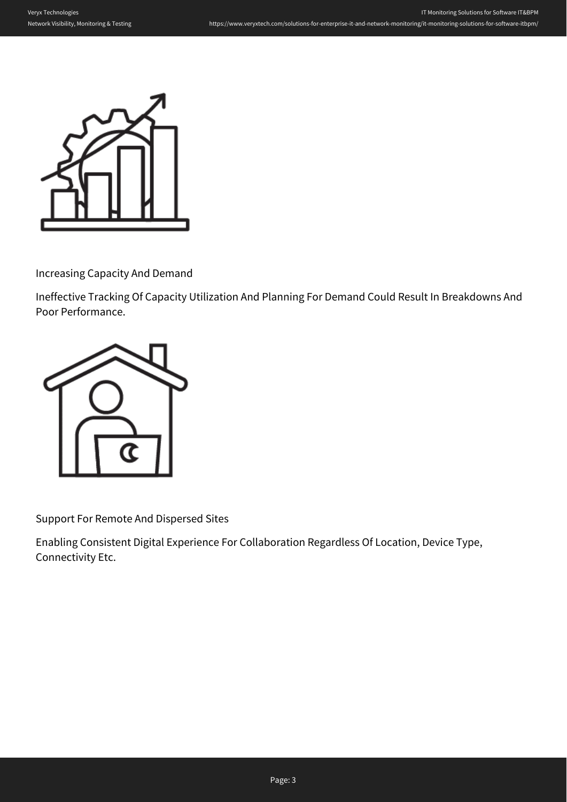

Increasing Capacity And Demand

Ineffective Tracking Of Capacity Utilization And Planning For Demand Could Result In Breakdowns And Poor Performance.



Support For Remote And Dispersed Sites

Enabling Consistent Digital Experience For Collaboration Regardless Of Location, Device Type, Connectivity Etc.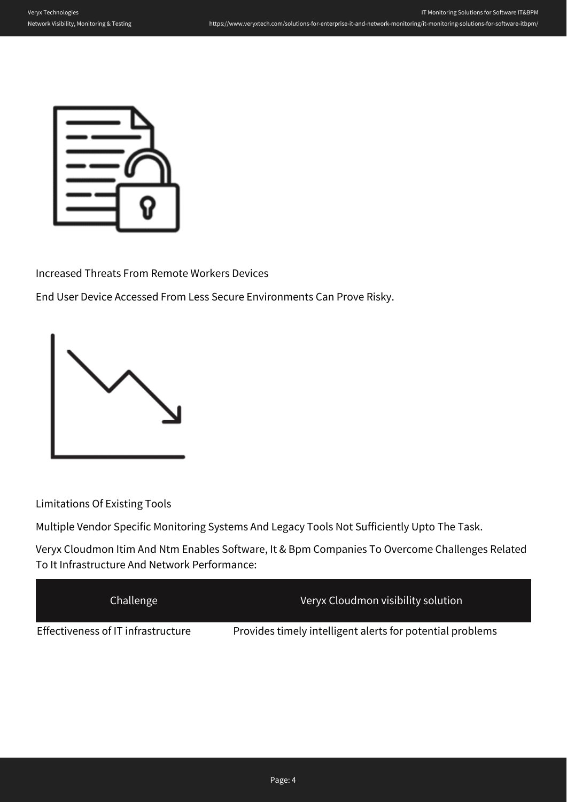

Increased Threats From Remote Workers Devices

End User Device Accessed From Less Secure Environments Can Prove Risky.



Limitations Of Existing Tools

Multiple Vendor Specific Monitoring Systems And Legacy Tools Not Sufficiently Upto The Task.

Veryx Cloudmon Itim And Ntm Enables Software, It & Bpm Companies To Overcome Challenges Related To It Infrastructure And Network Performance:

| Challenge                          | Veryx Cloudmon visibility solution                        |
|------------------------------------|-----------------------------------------------------------|
| Effectiveness of IT infrastructure | Provides timely intelligent alerts for potential problems |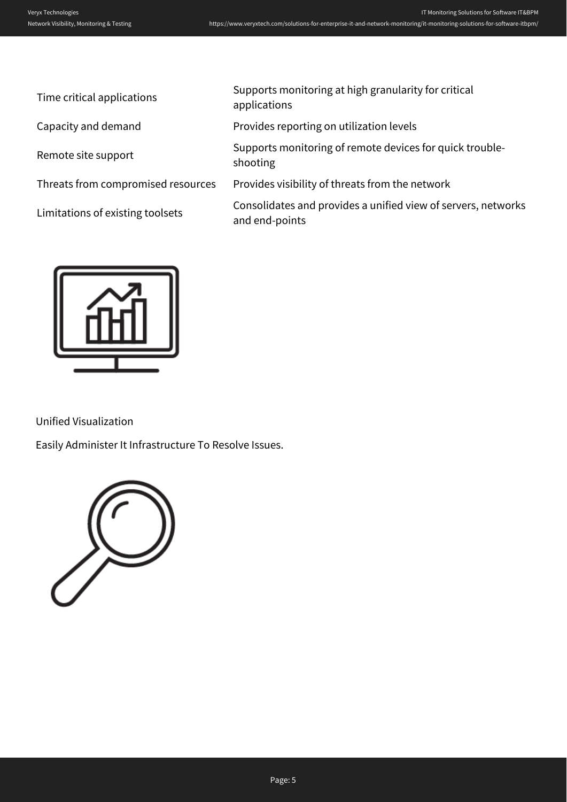| Time critical applications         | Supports monitoring at high granularity for critical<br>applications            |
|------------------------------------|---------------------------------------------------------------------------------|
| Capacity and demand                | Provides reporting on utilization levels                                        |
| Remote site support                | Supports monitoring of remote devices for quick trouble-<br>shooting            |
| Threats from compromised resources | Provides visibility of threats from the network                                 |
| Limitations of existing toolsets   | Consolidates and provides a unified view of servers, networks<br>and end-points |
|                                    |                                                                                 |



Unified Visualization

Easily Administer It Infrastructure To Resolve Issues.